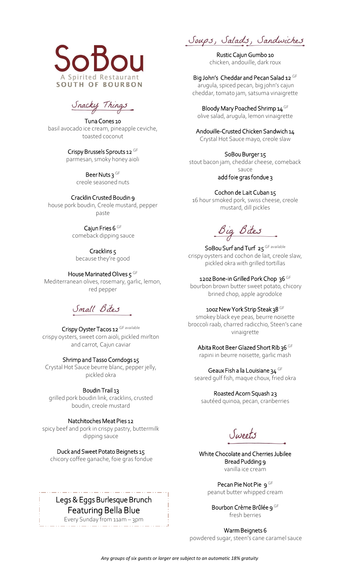

Snacky Things

Tuna Cones 10 basil avocado ice cream, pineapple ceviche, toasted coconut

> Crispy Brussels Sprouts 12 GF parmesan, smoky honey aioli

> > Beer Nuts 3 GF creole seasoned nuts

#### CracklinCrusted Boudin 9

house pork boudin, Creole mustard, pepper paste

> Cajun Fries 6 GF comeback dipping sauce

Cracklins 5 because they're good

#### House Marinated Olives 5 GF

Mediterranean olives, rosemary, garlic, lemon, red pepper

# Small Bites

## Crispy Oyster Tacos 12 GF available

crispy oysters, sweet corn aioli, pickled mirlton and carrot, Cajun caviar

#### Shrimp and Tasso Corndogs 15

Crystal Hot Sauce beurre blanc, pepper jelly, pickled okra

Boudin Trail 13

grilled pork boudin link, cracklins, crusted boudin, creole mustard

Natchitoches Meat Pies 12

spicy beef and pork in crispy pastry, buttermilk dipping sauce

Duck and Sweet Potato Beignets 15

chicory coffee ganache, foie gras fondue

# Legs & Eggs Burlesque Brunch Featuring Bella Blue

Every Sunday from 11am – 3pm

Soups, Salads, Sandwiches

Rustic Cajun Gumbo 10 chicken, andouille, dark roux

Big John's Cheddar and Pecan Salad 12 GF arugula, spiced pecan, big john's cajun cheddar, tomato jam, satsuma vinaigrette

Bloody Mary Poached Shrimp 14<sup>GF</sup> olive salad, arugula, lemon vinaigrette

Andouille-Crusted Chicken Sandwich 14

Crystal Hot Sauce mayo, creole slaw

SoBou Burger 15

stout bacon jam, cheddar cheese, comeback sauce

add foie gras fondue 3

## Cochon de Lait Cuban 15

16 hour smoked pork, swiss cheese, creole mustard, dill pickles

Big Bites

SoBou Surf and Turf 25 GF available crispy oysters and cochon de lait, creole slaw, pickled okra with grilled tortillas

12oz Bone-in Grilled Pork Chop 36 GF

bourbon brown butter sweet potato, chicory brined chop, apple agrodolce

## 100z New York Strip Steak 38 GF

smokey black eye peas, beurre noisette broccoli raab, charred radicchio, Steen's cane vinaigrette

## Abita Root Beer Glazed Short Rib 36 GF

rapini in beurre noisette, garlic mash

Geaux Fish a la Louisiane 34 GF

seared gulf fish, maque choux, fried okra

Roasted Acorn Squash 23 sautéed quinoa, pecan, cranberries

Sweets

White Chocolate and Cherries Jubilee Bread Pudding 9 vanilla ice cream

> Pecan Pie Not Pie 9 GF peanut butter whipped cream

Bourbon Crème Brûlée 9 GF fresh berries

Warm Beignets 6

powdered sugar, steen's cane caramel sauce